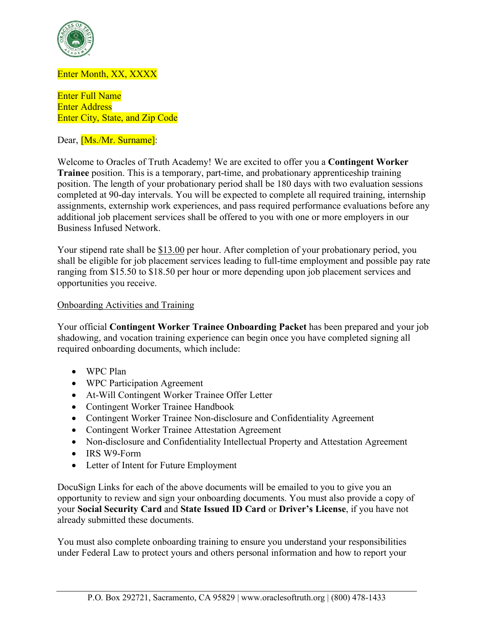

# Enter Month, XX, XXXX

Enter Full Name Enter Address Enter City, State, and Zip Code

Dear, [Ms./Mr. Surname]:

Welcome to Oracles of Truth Academy! We are excited to offer you a **Contingent Worker Trainee** position. This is a temporary, part-time, and probationary apprenticeship training position. The length of your probationary period shall be 180 days with two evaluation sessions completed at 90-day intervals. You will be expected to complete all required training, internship assignments, externship work experiences, and pass required performance evaluations before any additional job placement services shall be offered to you with one or more employers in our Business Infused Network.

Your stipend rate shall be \$13.00 per hour. After completion of your probationary period, you shall be eligible for job placement services leading to full-time employment and possible pay rate ranging from \$15.50 to \$18.50 per hour or more depending upon job placement services and opportunities you receive.

# Onboarding Activities and Training

Your official **Contingent Worker Trainee Onboarding Packet** has been prepared and your job shadowing, and vocation training experience can begin once you have completed signing all required onboarding documents, which include:

- WPC Plan
- WPC Participation Agreement
- At-Will Contingent Worker Trainee Offer Letter
- Contingent Worker Trainee Handbook
- Contingent Worker Trainee Non-disclosure and Confidentiality Agreement
- Contingent Worker Trainee Attestation Agreement
- Non-disclosure and Confidentiality Intellectual Property and Attestation Agreement
- IRS W9-Form
- Letter of Intent for Future Employment

DocuSign Links for each of the above documents will be emailed to you to give you an opportunity to review and sign your onboarding documents. You must also provide a copy of your **Social Security Card** and **State Issued ID Card** or **Driver's License**, if you have not already submitted these documents.

You must also complete onboarding training to ensure you understand your responsibilities under Federal Law to protect yours and others personal information and how to report your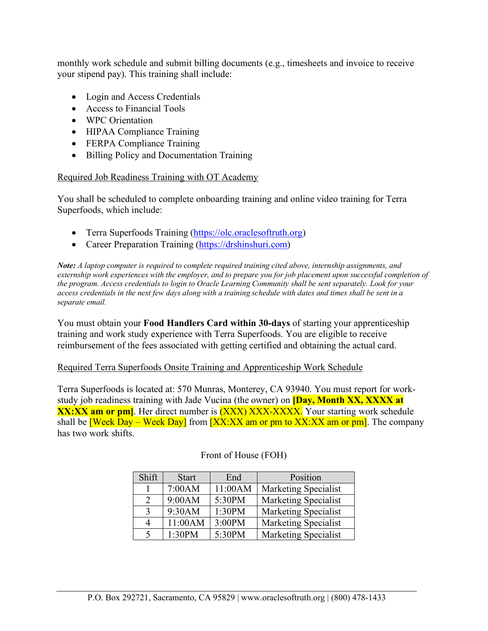monthly work schedule and submit billing documents (e.g., timesheets and invoice to receive your stipend pay). This training shall include:

- Login and Access Credentials
- Access to Financial Tools
- WPC Orientation
- HIPAA Compliance Training
- FERPA Compliance Training
- Billing Policy and Documentation Training

# Required Job Readiness Training with OT Academy

You shall be scheduled to complete onboarding training and online video training for Terra Superfoods, which include:

- Terra Superfoods Training [\(https://olc.oraclesoftruth.org\)](https://olc.oraclesoftruth.org/)
- Career Preparation Training [\(https://drshinshuri.com\)](https://drshinshuri.com/)

*Note: A laptop computer is required to complete required training cited above, internship assignments, and externship work experiences with the employer, and to prepare you for job placement upon successful completion of the program. Access credentials to login to Oracle Learning Community shall be sent separately. Look for your access credentials in the next few days along with a training schedule with dates and times shall be sent in a separate email.*

You must obtain your **Food Handlers Card within 30-days** of starting your apprenticeship training and work study experience with Terra Superfoods. You are eligible to receive reimbursement of the fees associated with getting certified and obtaining the actual card.

### Required Terra Superfoods Onsite Training and Apprenticeship Work Schedule

Terra Superfoods is located at: 570 Munras, Monterey, CA 93940. You must report for workstudy job readiness training with Jade Vucina (the owner) on **[Day, Month XX, XXXX at XX:XX am or pm]**. Her direct number is **(XXX) XXX-XXXX.** Your starting work schedule shall be **[Week Day – Week Day]** from **[XX:XX am or pm to XX:XX am or pm]**. The company has two work shifts.

| Shift | <b>Start</b> | End     | Position                    |
|-------|--------------|---------|-----------------------------|
|       | 7:00AM       | 11:00AM | <b>Marketing Specialist</b> |
| 2     | 9:00AM       | 5:30PM  | <b>Marketing Specialist</b> |
| 3     | 9:30AM       | 1:30PM  | Marketing Specialist        |
| 4     | 11:00AM      | 3:00PM  | <b>Marketing Specialist</b> |
|       | 1:30PM       | 5:30PM  | <b>Marketing Specialist</b> |

### Front of House (FOH)